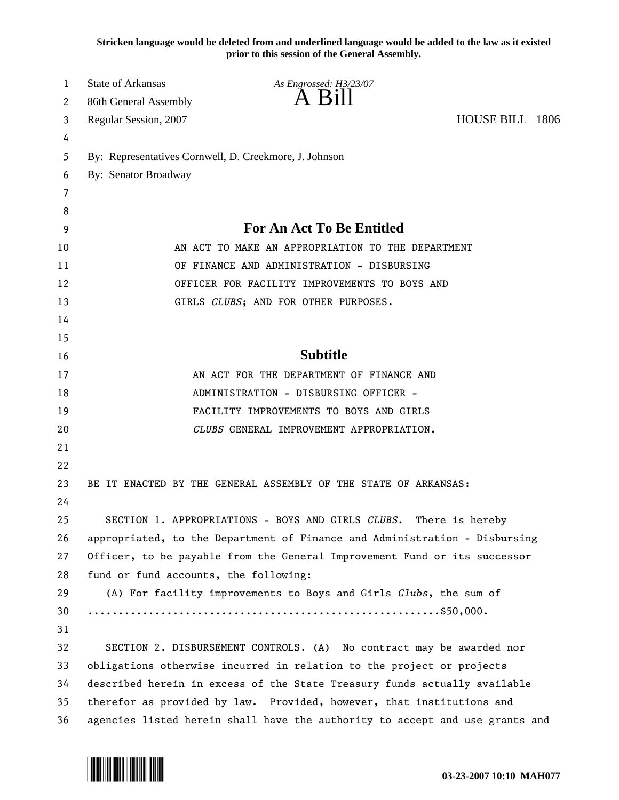**Stricken language would be deleted from and underlined language would be added to the law as it existed prior to this session of the General Assembly.**

| 1        | State of Arkansas                                                                 | As Engrossed: H3/23/07                                          |                 |  |
|----------|-----------------------------------------------------------------------------------|-----------------------------------------------------------------|-----------------|--|
| 2        | 86th General Assembly                                                             | $A$ B <sub>1</sub> $II$                                         |                 |  |
| 3        | Regular Session, 2007                                                             |                                                                 | HOUSE BILL 1806 |  |
| 4        |                                                                                   |                                                                 |                 |  |
| 5        | By: Representatives Cornwell, D. Creekmore, J. Johnson                            |                                                                 |                 |  |
| 6        | By: Senator Broadway                                                              |                                                                 |                 |  |
| 7        |                                                                                   |                                                                 |                 |  |
| 8        |                                                                                   |                                                                 |                 |  |
| 9        | For An Act To Be Entitled                                                         |                                                                 |                 |  |
| 10       | AN ACT TO MAKE AN APPROPRIATION TO THE DEPARTMENT                                 |                                                                 |                 |  |
| 11       | OF FINANCE AND ADMINISTRATION - DISBURSING                                        |                                                                 |                 |  |
| 12       | OFFICER FOR FACILITY IMPROVEMENTS TO BOYS AND                                     |                                                                 |                 |  |
| 13       |                                                                                   | GIRLS CLUBS; AND FOR OTHER PURPOSES.                            |                 |  |
| 14       |                                                                                   |                                                                 |                 |  |
| 15       |                                                                                   | <b>Subtitle</b>                                                 |                 |  |
| 16       |                                                                                   |                                                                 |                 |  |
| 17<br>18 | AN ACT FOR THE DEPARTMENT OF FINANCE AND<br>ADMINISTRATION - DISBURSING OFFICER - |                                                                 |                 |  |
| 19       |                                                                                   | FACILITY IMPROVEMENTS TO BOYS AND GIRLS                         |                 |  |
| 20       | CLUBS GENERAL IMPROVEMENT APPROPRIATION.                                          |                                                                 |                 |  |
| 21       |                                                                                   |                                                                 |                 |  |
| 22       |                                                                                   |                                                                 |                 |  |
| 23       |                                                                                   | BE IT ENACTED BY THE GENERAL ASSEMBLY OF THE STATE OF ARKANSAS: |                 |  |
| 24       |                                                                                   |                                                                 |                 |  |
| 25       |                                                                                   | SECTION 1. APPROPRIATIONS - BOYS AND GIRLS CLUBS.               | There is hereby |  |
| 26       | appropriated, to the Department of Finance and Administration - Disbursing        |                                                                 |                 |  |
| 27       | Officer, to be payable from the General Improvement Fund or its successor         |                                                                 |                 |  |
| 28       | fund or fund accounts, the following:                                             |                                                                 |                 |  |
| 29       | (A) For facility improvements to Boys and Girls Clubs, the sum of                 |                                                                 |                 |  |
| 30       |                                                                                   |                                                                 |                 |  |
| 31       |                                                                                   |                                                                 |                 |  |
| 32       | SECTION 2. DISBURSEMENT CONTROLS. (A) No contract may be awarded nor              |                                                                 |                 |  |
| 33       | obligations otherwise incurred in relation to the project or projects             |                                                                 |                 |  |
| 34       | described herein in excess of the State Treasury funds actually available         |                                                                 |                 |  |
| 35       | therefor as provided by law. Provided, however, that institutions and             |                                                                 |                 |  |
| 36       | agencies listed herein shall have the authority to accept and use grants and      |                                                                 |                 |  |